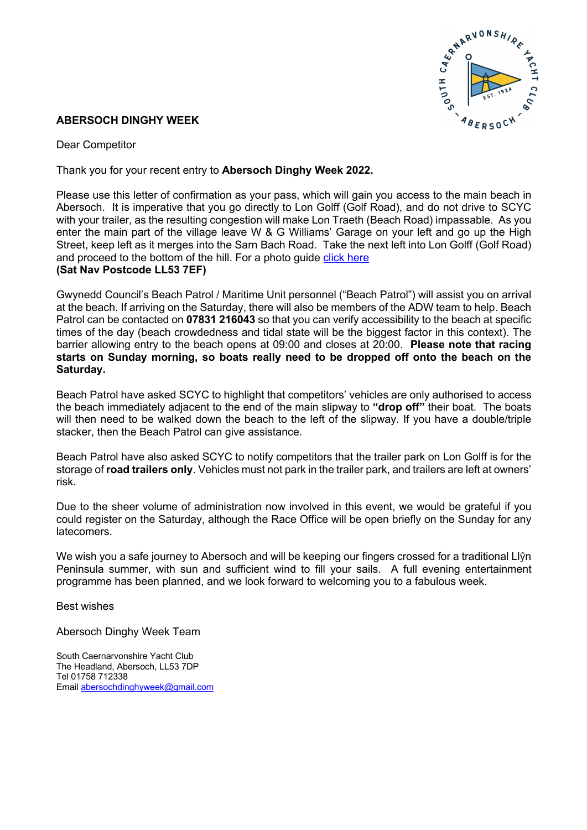

## **ABERSOCH DINGHY WEEK**

Dear Competitor

Thank you for your recent entry to **Abersoch Dinghy Week 2022.**

Please use this letter of confirmation as your pass, which will gain you access to the main beach in Abersoch. It is imperative that you go directly to Lon Golff (Golf Road), and do not drive to SCYC with your trailer, as the resulting congestion will make Lon Traeth (Beach Road) impassable. As you enter the main part of the village leave W & G Williams' Garage on your left and go up the High Street, keep left as it merges into the Sarn Bach Road. Take the next left into Lon Golff (Golf Road) and proceed to the bottom of the hill. For a photo quide click here **(Sat Nav Postcode LL53 7EF)**

Gwynedd Council's Beach Patrol / Maritime Unit personnel ("Beach Patrol") will assist you on arrival at the beach. If arriving on the Saturday, there will also be members of the ADW team to help. Beach Patrol can be contacted on **07831 216043** so that you can verify accessibility to the beach at specific times of the day (beach crowdedness and tidal state will be the biggest factor in this context). The barrier allowing entry to the beach opens at 09:00 and closes at 20:00. **Please note that racing starts on Sunday morning, so boats really need to be dropped off onto the beach on the Saturday.**

Beach Patrol have asked SCYC to highlight that competitors' vehicles are only authorised to access the beach immediately adjacent to the end of the main slipway to **"drop off"** their boat. The boats will then need to be walked down the beach to the left of the slipway. If you have a double/triple stacker, then the Beach Patrol can give assistance.

Beach Patrol have also asked SCYC to notify competitors that the trailer park on Lon Golff is for the storage of **road trailers only**. Vehicles must not park in the trailer park, and trailers are left at owners' risk.

Due to the sheer volume of administration now involved in this event, we would be grateful if you could register on the Saturday, although the Race Office will be open briefly on the Sunday for any latecomers.

We wish you a safe journey to Abersoch and will be keeping our fingers crossed for a traditional Llŷn Peninsula summer, with sun and sufficient wind to fill your sails. A full evening entertainment programme has been planned, and we look forward to welcoming you to a fabulous week.

Best wishes

Abersoch Dinghy Week Team

South Caernarvonshire Yacht Club The Headland, Abersoch, LL53 7DP Tel 01758 712338 Email abersochdinghyweek@gmail.com